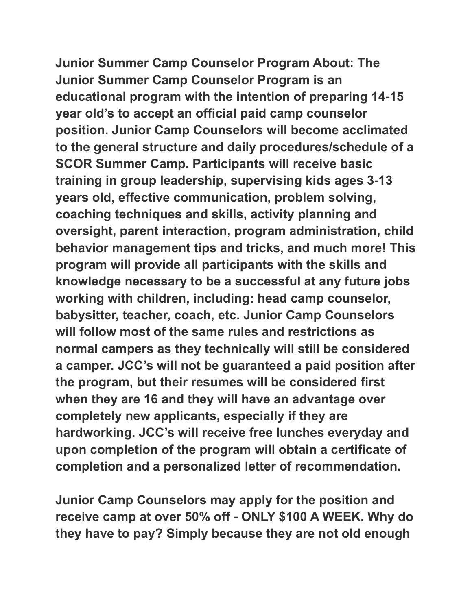**Junior Summer Camp Counselor Program About: The Junior Summer Camp Counselor Program is an educational program with the intention of preparing 14-15 year old's to accept an official paid camp counselor position. Junior Camp Counselors will become acclimated to the general structure and daily procedures/schedule of a SCOR Summer Camp. Participants will receive basic training in group leadership, supervising kids ages 3-13 years old, effective communication, problem solving, coaching techniques and skills, activity planning and oversight, parent interaction, program administration, child behavior management tips and tricks, and much more! This program will provide all participants with the skills and knowledge necessary to be a successful at any future jobs working with children, including: head camp counselor, babysitter, teacher, coach, etc. Junior Camp Counselors will follow most of the same rules and restrictions as normal campers as they technically will still be considered a camper. JCC's will not be guaranteed a paid position after the program, but their resumes will be considered first when they are 16 and they will have an advantage over completely new applicants, especially if they are hardworking. JCC's will receive free lunches everyday and upon completion of the program will obtain a certificate of completion and a personalized letter of recommendation.**

**Junior Camp Counselors may apply for the position and receive camp at over 50% off - ONLY \$100 A WEEK. Why do they have to pay? Simply because they are not old enough**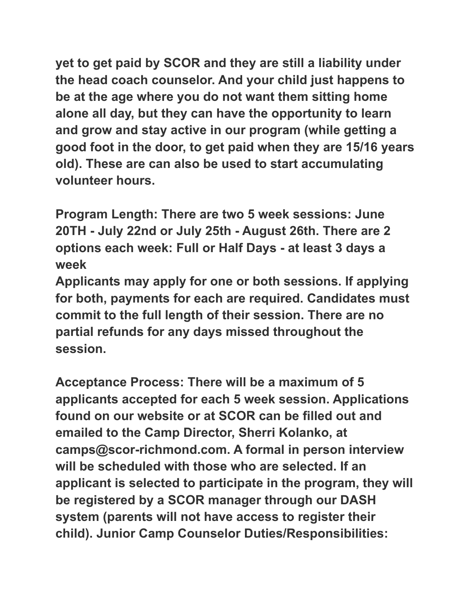**yet to get paid by SCOR and they are still a liability under the head coach counselor. And your child just happens to be at the age where you do not want them sitting home alone all day, but they can have the opportunity to learn and grow and stay active in our program (while getting a good foot in the door, to get paid when they are 15/16 years old). These are can also be used to start accumulating volunteer hours.**

**Program Length: There are two 5 week sessions: June 20TH - July 22nd or July 25th - August 26th. There are 2 options each week: Full or Half Days - at least 3 days a week**

**Applicants may apply for one or both sessions. If applying for both, payments for each are required. Candidates must commit to the full length of their session. There are no partial refunds for any days missed throughout the session.**

**Acceptance Process: There will be a maximum of 5 applicants accepted for each 5 week session. Applications found on our website or at SCOR can be filled out and emailed to the Camp Director, Sherri Kolanko, at camps@scor-richmond.com. A formal in person interview will be scheduled with those who are selected. If an applicant is selected to participate in the program, they will be registered by a SCOR manager through our DASH system (parents will not have access to register their child). Junior Camp Counselor Duties/Responsibilities:**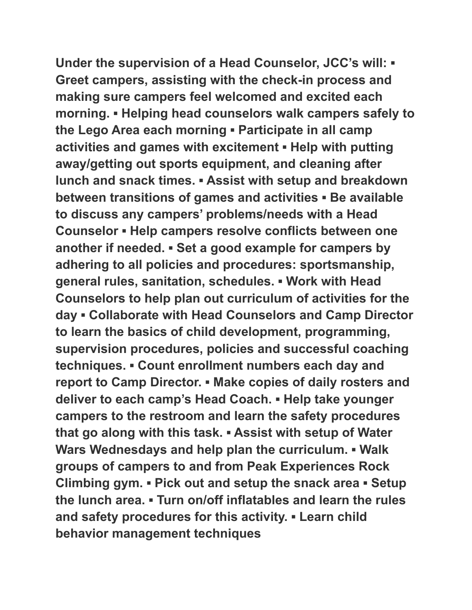**Under the supervision of a Head Counselor, JCC's will: ▪ Greet campers, assisting with the check-in process and making sure campers feel welcomed and excited each morning. ▪ Helping head counselors walk campers safely to the Lego Area each morning ▪ Participate in all camp activities and games with excitement ▪ Help with putting away/getting out sports equipment, and cleaning after lunch and snack times. ▪ Assist with setup and breakdown between transitions of games and activities ▪ Be available to discuss any campers' problems/needs with a Head Counselor ▪ Help campers resolve conflicts between one another if needed. ▪ Set a good example for campers by adhering to all policies and procedures: sportsmanship, general rules, sanitation, schedules. ▪ Work with Head Counselors to help plan out curriculum of activities for the day ▪ Collaborate with Head Counselors and Camp Director to learn the basics of child development, programming, supervision procedures, policies and successful coaching techniques. ▪ Count enrollment numbers each day and report to Camp Director. ▪ Make copies of daily rosters and deliver to each camp's Head Coach. ▪ Help take younger campers to the restroom and learn the safety procedures that go along with this task. ▪ Assist with setup of Water Wars Wednesdays and help plan the curriculum. ▪ Walk groups of campers to and from Peak Experiences Rock Climbing gym. ▪ Pick out and setup the snack area ▪ Setup the lunch area. ▪ Turn on/off inflatables and learn the rules and safety procedures for this activity. ▪ Learn child behavior management techniques**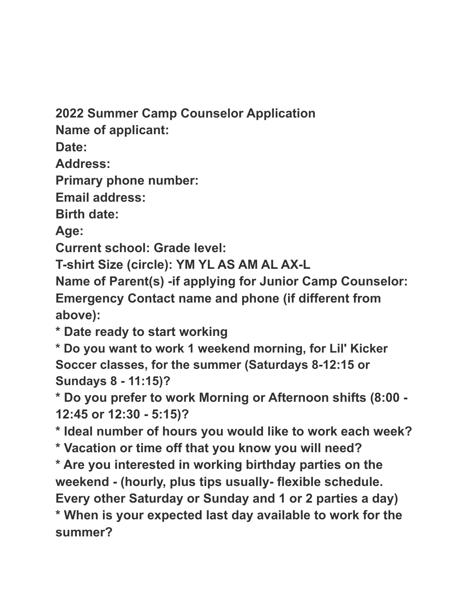**2022 Summer Camp Counselor Application**

**Name of applicant:**

**Date:**

**Address:**

**Primary phone number:**

**Email address:**

**Birth date:**

**Age:**

**Current school: Grade level:**

**T-shirt Size (circle): YM YL AS AM AL AX-L**

**Name of Parent(s) -if applying for Junior Camp Counselor: Emergency Contact name and phone (if different from above):**

**\* Date ready to start working**

**\* Do you want to work 1 weekend morning, for Lil' Kicker Soccer classes, for the summer (Saturdays 8-12:15 or Sundays 8 - 11:15)?**

**\* Do you prefer to work Morning or Afternoon shifts (8:00 - 12:45 or 12:30 - 5:15)?**

**\* Ideal number of hours you would like to work each week? \* Vacation or time off that you know you will need?**

**\* Are you interested in working birthday parties on the weekend - (hourly, plus tips usually- flexible schedule. Every other Saturday or Sunday and 1 or 2 parties a day) \* When is your expected last day available to work for the summer?**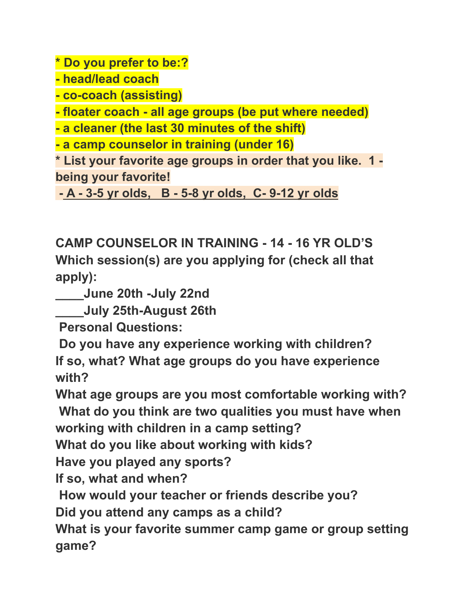**\* Do you prefer to be:?**

**- head/lead coach**

**- co-coach (assisting)**

**- floater coach - all age groups (be put where needed)**

**- a cleaner (the last 30 minutes of the shift)**

**- a camp counselor in training (under 16)**

**\* List your favorite age groups in order that you like. 1 being your favorite!**

**- A - 3-5 yr olds, B - 5-8 yr olds, C- 9-12 yr olds**

**CAMP COUNSELOR IN TRAINING - 14 - 16 YR OLD'S Which session(s) are you applying for (check all that apply):**

**\_\_\_\_June 20th -July 22nd**

**\_\_\_\_July 25th-August 26th**

**Personal Questions:**

**Do you have any experience working with children? If so, what? What age groups do you have experience with?**

**What age groups are you most comfortable working with? What do you think are two qualities you must have when**

**working with children in a camp setting?**

**What do you like about working with kids?**

**Have you played any sports?**

**If so, what and when?**

**How would your teacher or friends describe you?**

**Did you attend any camps as a child?**

**What is your favorite summer camp game or group setting game?**